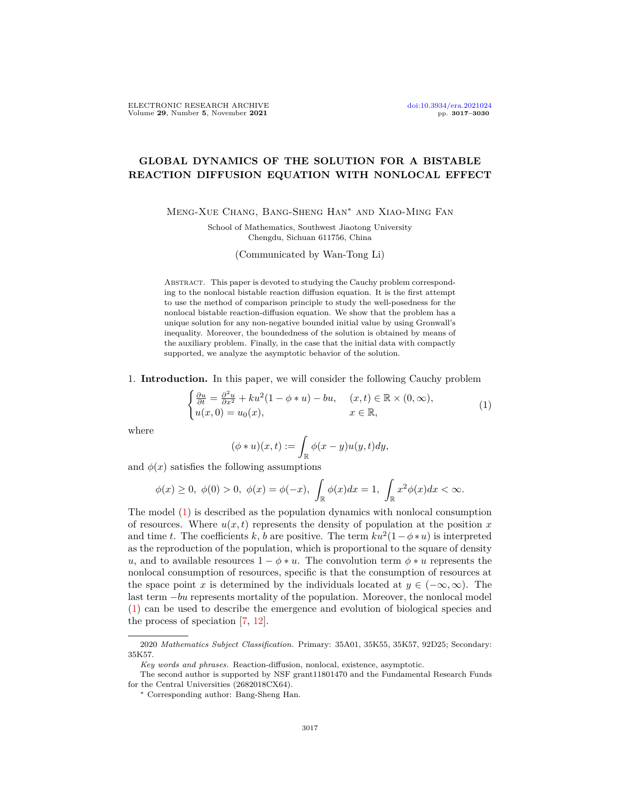## **GLOBAL DYNAMICS OF THE SOLUTION FOR A BISTABLE REACTION DIFFUSION EQUATION WITH NONLOCAL EFFECT**

Meng-Xue Chang, Bang-Sheng Han*∗* and Xiao-Ming Fan

School of Mathematics, Southwest Jiaotong University Chengdu, Sichuan 611756, China

(Communicated by Wan-Tong Li)

ABSTRACT. This paper is devoted to studying the Cauchy problem corresponding to the nonlocal bistable reaction diffusion equation. It is the first attempt to use the method of comparison principle to study the well-posedness for the nonlocal bistable reaction-diffusion equation. We show that the problem has a unique solution for any non-negative bounded initial value by using Gronwall's inequality. Moreover, the boundedness of the solution is obtained by means of the auxiliary problem. Finally, in the case that the initial data with compactly supported, we analyze the asymptotic behavior of the solution.

1. **Introduction.** In this paper, we will consider the following Cauchy problem

<span id="page-0-0"></span>
$$
\begin{cases} \frac{\partial u}{\partial t} = \frac{\partial^2 u}{\partial x^2} + ku^2(1 - \phi * u) - bu, & (x, t) \in \mathbb{R} \times (0, \infty), \\ u(x, 0) = u_0(x), & x \in \mathbb{R}, \end{cases}
$$
(1)

where

$$
(\phi*u)(x,t):=\int_{\mathbb{R}}\phi(x-y)u(y,t)dy,
$$

and  $\phi(x)$  satisfies the following assumptions

$$
\phi(x)\geq 0, \ \phi(0)>0, \ \phi(x)=\phi(-x), \ \int_{\mathbb{R}}\phi(x)dx=1, \ \int_{\mathbb{R}}x^2\phi(x)dx<\infty.
$$

The model [\(1](#page-0-0)) is described as the population dynamics with nonlocal consumption of resources. Where  $u(x, t)$  represents the density of population at the position x and time *t*. The coefficients *k*, *b* are positive. The term  $ku^2(1 - \phi * u)$  is interpreted as the reproduction of the population, which is proportional to the square of density *u*, and to available resources  $1 - \phi * u$ . The convolution term  $\phi * u$  represents the nonlocal consumption of resources, specific is that the consumption of resources at the space point *x* is determined by the individuals located at  $y \in (-\infty, \infty)$ . The last term *−bu* represents mortality of the population. Moreover, the nonlocal model ([1\)](#page-0-0) can be used to describe the emergence and evolution of biological species and the process of speciation [\[7](#page-12-0), [12\]](#page-12-1).

<sup>2020</sup> *Mathematics Subject Classification.* Primary: 35A01, 35K55, 35K57, 92D25; Secondary: 35K57.

*Key words and phrases.* Reaction-diffusion, nonlocal, existence, asymptotic.

The second author is supported by NSF grant11801470 and the Fundamental Research Funds for the Central Universities (2682018CX64).

*<sup>∗</sup>* Corresponding author: Bang-Sheng Han.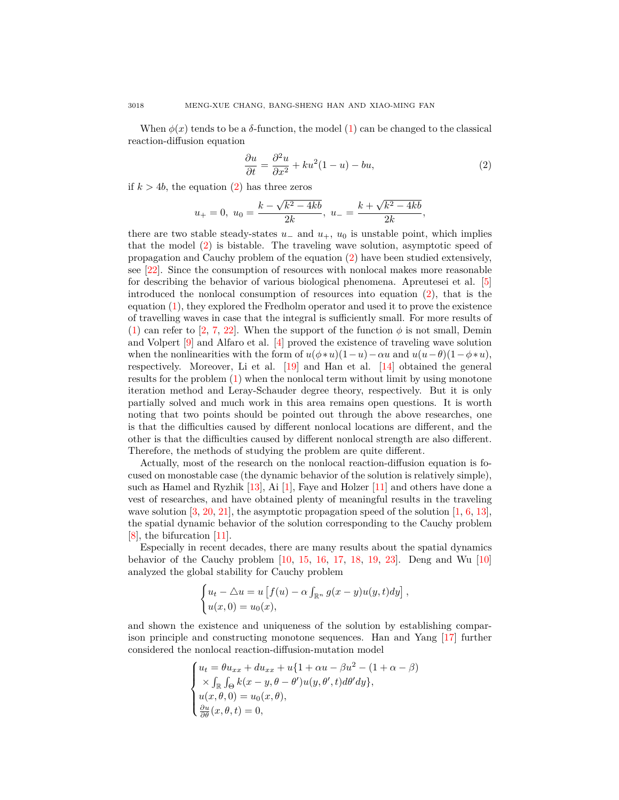When  $\phi(x)$  tends to be a  $\delta$ -function, the model ([1\)](#page-0-0) can be changed to the classical reaction-diffusion equation

<span id="page-1-0"></span>
$$
\frac{\partial u}{\partial t} = \frac{\partial^2 u}{\partial x^2} + ku^2(1 - u) - bu,\tag{2}
$$

*,*

if  $k > 4b$ , the equation  $(2)$  $(2)$  has three zeros

$$
u_+ = 0
$$
,  $u_0 = \frac{k - \sqrt{k^2 - 4kb}}{2k}$ ,  $u_- = \frac{k + \sqrt{k^2 - 4kb}}{2k}$ 

there are two stable steady-states  $u_-\,$  and  $u_+$ ,  $u_0$  is unstable point, which implies that the model [\(2](#page-1-0)) is bistable. The traveling wave solution, asymptotic speed of propagation and Cauchy problem of the equation [\(2](#page-1-0)) have been studied extensively, see [[22\]](#page-13-0). Since the consumption of resources with nonlocal makes more reasonable for describing the behavior of various biological phenomena. Apreutesei et al. [[5\]](#page-12-2) introduced the nonlocal consumption of resources into equation ([2\)](#page-1-0), that is the equation [\(1](#page-0-0)), they explored the Fredholm operator and used it to prove the existence of travelling waves in case that the integral is sufficiently small. For more results of ([1\)](#page-0-0) can refer to [\[2](#page-12-3), [7](#page-12-0), [22](#page-13-0)]. When the support of the function  $\phi$  is not small, Demin and Volpert [\[9](#page-12-4)] and Alfaro et al. [[4\]](#page-12-5) proved the existence of traveling wave solution when the nonlinearities with the form of  $u(\phi * u)(1 - u) - \alpha u$  and  $u(u - \theta)(1 - \phi * u)$ , respectively. Moreover, Li et al. [\[19](#page-13-1)] and Han et al. [[14\]](#page-13-2) obtained the general results for the problem ([1\)](#page-0-0) when the nonlocal term without limit by using monotone iteration method and Leray-Schauder degree theory, respectively. But it is only partially solved and much work in this area remains open questions. It is worth noting that two points should be pointed out through the above researches, one is that the difficulties caused by different nonlocal locations are different, and the other is that the difficulties caused by different nonlocal strength are also different. Therefore, the methods of studying the problem are quite different.

Actually, most of the research on the nonlocal reaction-diffusion equation is focused on monostable case (the dynamic behavior of the solution is relatively simple), suchas Hamel and Ryzhik  $[13]$  $[13]$ , Ai  $[1]$  $[1]$ , Faye and Holzer  $[11]$  $[11]$  and others have done a vest of researches, and have obtained plenty of meaningful results in the traveling wave solution  $\left[3, 20, 21\right]$  $\left[3, 20, 21\right]$  $\left[3, 20, 21\right]$  $\left[3, 20, 21\right]$  $\left[3, 20, 21\right]$ , the asymptotic propagation speed of the solution  $\left[1, 6, 13\right]$  $\left[1, 6, 13\right]$  $\left[1, 6, 13\right]$  $\left[1, 6, 13\right]$  $\left[1, 6, 13\right]$ , the spatial dynamic behavior of the solution corresponding to the Cauchy problem [\[8](#page-12-10)], the bifurcation [[11\]](#page-12-7).

Especially in recent decades, there are many results about the spatial dynamics behavior of the Cauchy problem [[10](#page-12-11), [15,](#page-13-6) [16,](#page-13-7) [17,](#page-13-8) [18,](#page-13-9) [19](#page-13-1), [23](#page-13-10)]. Deng and Wu [[10\]](#page-12-11) analyzed the global stability for Cauchy problem

$$
\begin{cases} u_t - \triangle u = u \left[ f(u) - \alpha \int_{\mathbb{R}^n} g(x - y) u(y, t) dy \right], \\ u(x, 0) = u_0(x), \end{cases}
$$

and shown the existence and uniqueness of the solution by establishing comparison principle and constructing monotone sequences. Han and Yang [\[17](#page-13-8)] further considered the nonlocal reaction-diffusion-mutation model

$$
\begin{cases}\nu_t = \theta u_{xx} + du_{xx} + u\{1 + \alpha u - \beta u^2 - (1 + \alpha - \beta) \\
\times \int_{\mathbb{R}} \int_{\Theta} k(x - y, \theta - \theta') u(y, \theta', t) d\theta' dy\}, \\
u(x, \theta, 0) = u_0(x, \theta), \\
\frac{\partial u}{\partial \theta}(x, \theta, t) = 0,\n\end{cases}
$$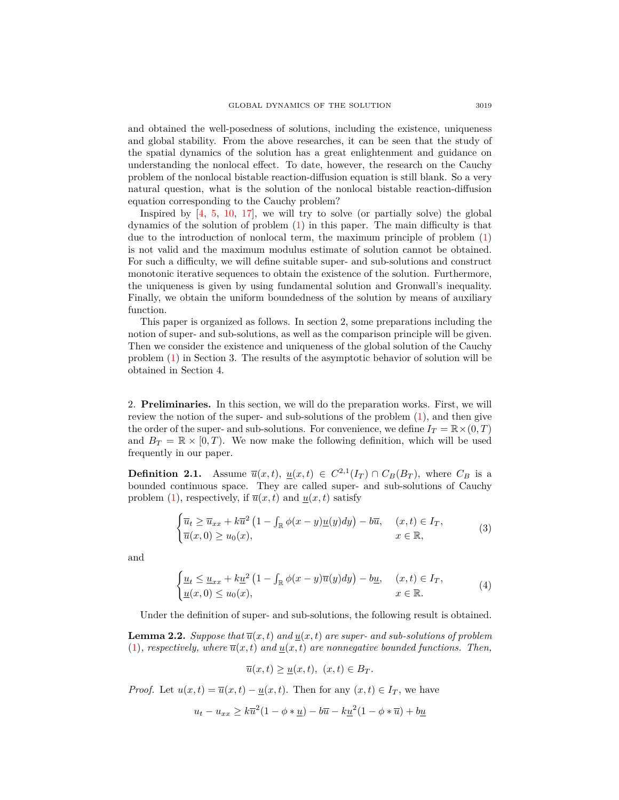and obtained the well-posedness of solutions, including the existence, uniqueness and global stability. From the above researches, it can be seen that the study of the spatial dynamics of the solution has a great enlightenment and guidance on understanding the nonlocal effect. To date, however, the research on the Cauchy problem of the nonlocal bistable reaction-diffusion equation is still blank. So a very natural question, what is the solution of the nonlocal bistable reaction-diffusion equation corresponding to the Cauchy problem?

Inspired by  $[4, 5, 10, 17]$  $[4, 5, 10, 17]$  $[4, 5, 10, 17]$  $[4, 5, 10, 17]$  $[4, 5, 10, 17]$  $[4, 5, 10, 17]$  $[4, 5, 10, 17]$  $[4, 5, 10, 17]$  $[4, 5, 10, 17]$ , we will try to solve (or partially solve) the global dynamics of the solution of problem ([1\)](#page-0-0) in this paper. The main difficulty is that due to the introduction of nonlocal term, the maximum principle of problem ([1\)](#page-0-0) is not valid and the maximum modulus estimate of solution cannot be obtained. For such a difficulty, we will define suitable super- and sub-solutions and construct monotonic iterative sequences to obtain the existence of the solution. Furthermore, the uniqueness is given by using fundamental solution and Gronwall's inequality. Finally, we obtain the uniform boundedness of the solution by means of auxiliary function.

This paper is organized as follows. In section 2, some preparations including the notion of super- and sub-solutions, as well as the comparison principle will be given. Then we consider the existence and uniqueness of the global solution of the Cauchy problem [\(1\)](#page-0-0) in Section 3. The results of the asymptotic behavior of solution will be obtained in Section 4.

2. **Preliminaries.** In this section, we will do the preparation works. First, we will review the notion of the super- and sub-solutions of the problem [\(1](#page-0-0)), and then give the order of the super- and sub-solutions. For convenience, we define  $I_T = \mathbb{R} \times (0, T)$ and  $B_T = \mathbb{R} \times [0, T)$ . We now make the following definition, which will be used frequently in our paper.

**Definition 2.1.** Assume  $\overline{u}(x,t)$ ,  $\underline{u}(x,t) \in C^{2,1}(I_T) \cap C_B(B_T)$ , where  $C_B$  is a bounded continuous space. They are called super- and sub-solutions of Cauchy problem [\(1](#page-0-0)), respectively, if  $\overline{u}(x,t)$  and  $u(x,t)$  satisfy

$$
\begin{cases} \overline{u}_t \ge \overline{u}_{xx} + k\overline{u}^2 \left(1 - \int_{\mathbb{R}} \phi(x - y) \underline{u}(y) dy\right) - b\overline{u}, & (x, t) \in I_T, \\ \overline{u}(x, 0) \ge u_0(x), & x \in \mathbb{R}, \end{cases}
$$
(3)

and

$$
\begin{cases} \underline{u}_t \le \underline{u}_{xx} + k\underline{u}^2 \left( 1 - \int_{\mathbb{R}} \phi(x - y)\overline{u}(y) dy \right) - b\underline{u}, & (x, t) \in I_T, \\ \underline{u}(x, 0) \le u_0(x), & x \in \mathbb{R}. \end{cases} \tag{4}
$$

Under the definition of super- and sub-solutions, the following result is obtained.

**Lemma 2.2.** *Suppose that*  $\overline{u}(x,t)$  *and*  $u(x,t)$  *are super- and sub-solutions of problem*  $(1)$  $(1)$ *, respectively, where*  $\overline{u}(x,t)$  *and*  $u(x,t)$  *are nonnegative bounded functions. Then,* 

<span id="page-2-1"></span><span id="page-2-0"></span>
$$
\overline{u}(x,t) \ge \underline{u}(x,t), \ (x,t) \in B_T.
$$

*Proof.* Let  $u(x,t) = \overline{u}(x,t) - \underline{u}(x,t)$ . Then for any  $(x,t) \in I_T$ , we have

$$
u_t - u_{xx} \ge k\overline{u}^2(1 - \phi * \underline{u}) - b\overline{u} - k\underline{u}^2(1 - \phi * \overline{u}) + b\underline{u}
$$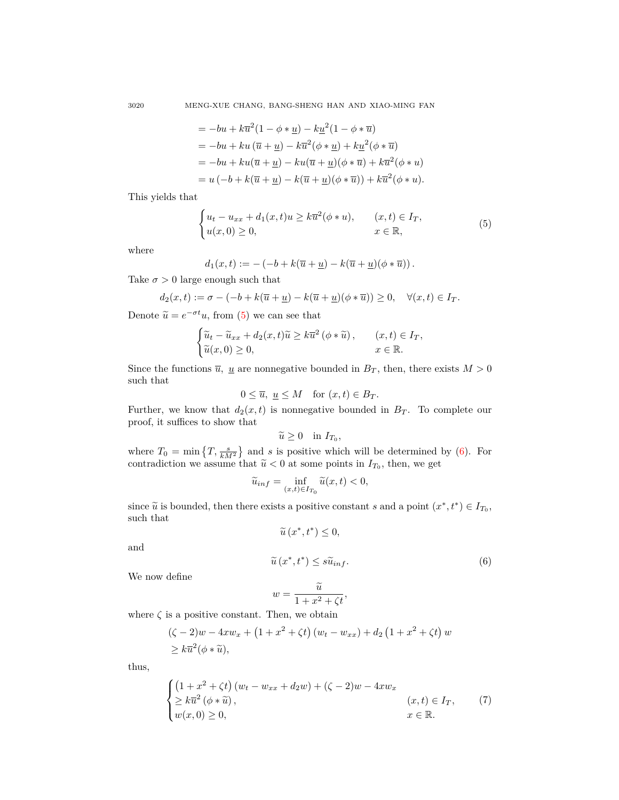3020 MENG-XUE CHANG, BANG-SHENG HAN AND XIAO-MING FAN

$$
= -bu + k\overline{u}^{2}(1 - \phi * \underline{u}) - k\underline{u}^{2}(1 - \phi * \overline{u})
$$
  
\n
$$
= -bu + ku(\overline{u} + \underline{u}) - k\overline{u}^{2}(\phi * \underline{u}) + k\underline{u}^{2}(\phi * \overline{u})
$$
  
\n
$$
= -bu + ku(\overline{u} + \underline{u}) - ku(\overline{u} + \underline{u})(\phi * \overline{u}) + k\overline{u}^{2}(\phi * u)
$$
  
\n
$$
= u(-b + k(\overline{u} + \underline{u}) - k(\overline{u} + \underline{u})(\phi * \overline{u})) + k\overline{u}^{2}(\phi * u).
$$

This yields that

<span id="page-3-0"></span>
$$
\begin{cases} u_t - u_{xx} + d_1(x, t)u \ge k\overline{u}^2(\phi * u), & (x, t) \in I_T, \\ u(x, 0) \ge 0, & x \in \mathbb{R}, \end{cases}
$$
 (5)

where

$$
d_1(x,t) := -(-b + k(\overline{u} + \underline{u}) - k(\overline{u} + \underline{u})(\phi * \overline{u})).
$$

Take  $\sigma > 0$  large enough such that

$$
d_2(x,t) := \sigma - (-b + k(\overline{u} + \underline{u}) - k(\overline{u} + \underline{u})(\phi * \overline{u})) \ge 0, \quad \forall (x,t) \in I_T.
$$

Denote  $\tilde{u} = e^{-\sigma t}u$ , from [\(5](#page-3-0)) we can see that

$$
\begin{cases} \widetilde{u}_t - \widetilde{u}_{xx} + d_2(x, t)\widetilde{u} \ge k\overline{u}^2\left(\phi * \widetilde{u}\right), & (x, t) \in I_T, \\ \widetilde{u}(x, 0) \ge 0, & x \in \mathbb{R}. \end{cases}
$$

Since the functions  $\overline{u}$ , <u>u</u> are nonnegative bounded in  $B_T$ , then, there exists  $M > 0$ such that

$$
0 \le \overline{u}, \ \underline{u} \le M \quad \text{for } (x, t) \in B_T.
$$

Further, we know that  $d_2(x,t)$  is nonnegative bounded in  $B_T$ . To complete our proof, it suffices to show that

$$
\widetilde{u}\geq 0 \quad \text{in } I_{T_0},
$$

where  $T_0 = \min\left\{T, \frac{s}{kM^2}\right\}$  and *s* is positive which will be determined by ([6\)](#page-3-1). For contradiction we assume that  $\tilde{u} < 0$  at some points in  $I_{T_0}$ , then, we get

$$
\widetilde{u}_{inf} = \inf_{(x,t)\in I_{T_0}} \widetilde{u}(x,t) < 0,
$$

since  $\widetilde{u}$  is bounded, then there exists a positive constant *s* and a point  $(x^*, t^*) \in I_{T_0}$ , such that

$$
\widetilde{u}\left( x^{\ast},t^{\ast}\right) \leq0,
$$

and

<span id="page-3-1"></span>
$$
\widetilde{u}\left(x^*, t^*\right) \le s\widetilde{u}_{inf}.\tag{6}
$$

We now define

$$
w = \frac{\widetilde{u}}{1 + x^2 + \zeta t},
$$

where  $\zeta$  is a positive constant. Then, we obtain

$$
(\zeta - 2)w - 4xw_x + (1 + x^2 + \zeta t) (w_t - w_{xx}) + d_2 (1 + x^2 + \zeta t) w
$$
  
\n
$$
\geq k\overline{u}^2(\phi * \widetilde{u}),
$$

thus,

<span id="page-3-2"></span>
$$
\begin{cases}\n\left(1+x^2+\zeta t\right)(w_t-w_{xx}+d_2w)+(\zeta-2)w-4xw_x\\ \n\geq k\overline{u}^2\left(\phi*\widetilde{u}\right), & (x,t)\in I_T,\\
w(x,0)\geq 0, & x\in\mathbb{R}.\n\end{cases}
$$
\n(7)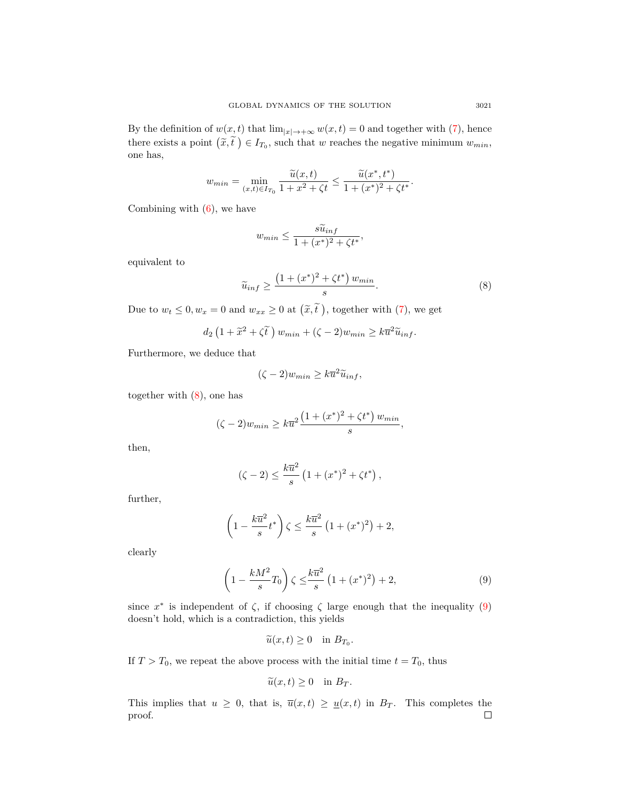By the definition of  $w(x, t)$  that  $\lim_{|x| \to +\infty} w(x, t) = 0$  and together with ([7\)](#page-3-2), hence there exists a point  $(\tilde{x}, \tilde{t}) \in I_{T_0}$ , such that *w* reaches the negative minimum  $w_{min}$ , one has,

$$
w_{min} = \min_{(x,t)\in I_{T_0}} \frac{\widetilde{u}(x,t)}{1+x^2+\zeta t} \le \frac{\widetilde{u}(x^*,t^*)}{1+(x^*)^2+\zeta t^*}.
$$

Combining with  $(6)$  $(6)$ , we have

$$
w_{min} \le \frac{s\widetilde{u}_{inf}}{1 + (x^*)^2 + \zeta t^*},
$$

equivalent to

<span id="page-4-0"></span>
$$
\widetilde{u}_{inf} \ge \frac{\left(1 + (x^*)^2 + \zeta t^*\right)w_{min}}{s}.\tag{8}
$$

Due to  $w_t \leq 0, w_x = 0$  and  $w_{xx} \geq 0$  at  $(\tilde{x}, \tilde{t})$ , together with ([7\)](#page-3-2), we get

$$
d_2\left(1+\widetilde{x}^2+\zeta\widetilde{t}\,\right)w_{min}+(\zeta-2)w_{min}\geq k\overline{u}^2\widetilde{u}_{inf}.
$$

Furthermore, we deduce that

$$
(\zeta - 2)w_{min} \ge k\overline{u}^2\widetilde{u}_{inf},
$$

together with ([8\)](#page-4-0), one has

$$
(\zeta - 2)w_{min} \ge k\overline{u}^{2} \frac{(1 + (x^{*})^{2} + \zeta t^{*}) w_{min}}{s},
$$

then,

$$
(\zeta - 2) \le \frac{k\overline{u}^2}{s} \left( 1 + (x^*)^2 + \zeta t^* \right),
$$

further,

$$
\left(1 - \frac{k\overline{u}^2}{s}t^*\right)\zeta \le \frac{k\overline{u}^2}{s}\left(1 + (x^*)^2\right) + 2,
$$

clearly

$$
\left(1 - \frac{kM^2}{s}T_0\right)\zeta \le \frac{k\overline{u}^2}{s}\left(1 + (x^*)^2\right) + 2,\tag{9}
$$

since  $x^*$  is independent of  $\zeta$ , if choosing  $\zeta$  large enough that the inequality ([9\)](#page-4-1) doesn't hold, which is a contradiction, this yields

<span id="page-4-1"></span>
$$
\widetilde{u}(x,t) \ge 0 \quad \text{in } B_{T_0}.
$$

If  $T > T_0$ , we repeat the above process with the initial time  $t = T_0$ , thus

$$
\widetilde{u}(x,t) \ge 0 \quad \text{in } B_T.
$$

This implies that  $u \geq 0$ , that is,  $\overline{u}(x,t) \geq \underline{u}(x,t)$  in  $B_T$ . This completes the proof. $\Box$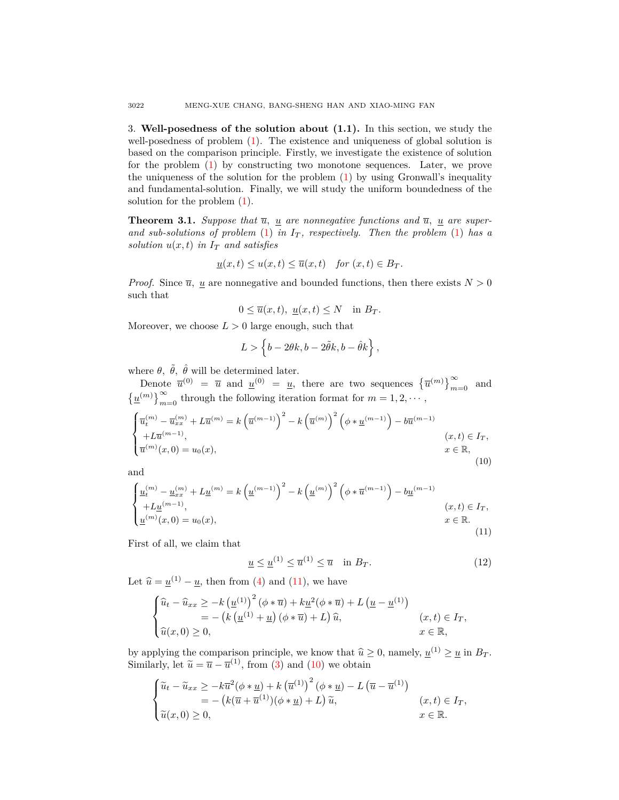3. **Well-posedness of the solution about (1.1).** In this section, we study the well-posedness of problem [\(1](#page-0-0)). The existence and uniqueness of global solution is based on the comparison principle. Firstly, we investigate the existence of solution for the problem [\(1](#page-0-0)) by constructing two monotone sequences. Later, we prove the uniqueness of the solution for the problem ([1\)](#page-0-0) by using Gronwall's inequality and fundamental-solution. Finally, we will study the uniform boundedness of the solution for the problem [\(1](#page-0-0)).

<span id="page-5-3"></span>**Theorem 3.1.** *Suppose that*  $\overline{u}$ , <u>*u*</u> are nonnegative functions and  $\overline{u}$ , <u>*u*</u> are superand sub-solutions of problem  $(1)$  $(1)$  in  $I_T$ , respectively. Then the problem  $(1)$  $(1)$  has a *solution*  $u(x,t)$  *in*  $I_T$  *and satisfies* 

$$
\underline{u}(x,t) \le u(x,t) \le \overline{u}(x,t) \quad \text{for } (x,t) \in B_T.
$$

*Proof.* Since  $\overline{u}$ , <u>u</u> are nonnegative and bounded functions, then there exists  $N > 0$ such that

$$
0 \le \overline{u}(x,t), \underline{u}(x,t) \le N \quad \text{in } B_T.
$$

Moreover, we choose  $L > 0$  large enough, such that

$$
L > \left\{b-2\theta k, b-2\tilde{\theta}k, b-\hat{\theta}k\right\},\,
$$

where  $\theta$ ,  $\tilde{\theta}$ ,  $\hat{\theta}$  will be determined later.

Denote  $\overline{u}^{(0)} = \overline{u}$  and  $\underline{u}^{(0)} = \underline{u}$ , there are two sequences  ${\overline{u}^{(m)}}_{m=0}^{\infty}$  and  $\left\{\underline{u}^{(m)}\right\}_{m=0}^{\infty}$  through the following iteration format for  $m = 1, 2, \cdots$ ,

<span id="page-5-1"></span>
$$
\begin{cases} \overline{u}_t^{(m)} - \overline{u}_{xx}^{(m)} + L\overline{u}^{(m)} = k \left( \overline{u}^{(m-1)} \right)^2 - k \left( \overline{u}^{(m)} \right)^2 \left( \phi * \underline{u}^{(m-1)} \right) - b\overline{u}^{(m-1)} \\ + L\overline{u}^{(m-1)}, & (x, t) \in I_T, \\ \overline{u}^{(m)}(x, 0) = u_0(x), & x \in \mathbb{R}, \end{cases}
$$
(10)

and

<span id="page-5-0"></span>
$$
\begin{cases}\n\underline{u}_{t}^{(m)} - \underline{u}_{xx}^{(m)} + L \underline{u}^{(m)} = k \left(\underline{u}^{(m-1)}\right)^{2} - k \left(\underline{u}^{(m)}\right)^{2} \left(\phi * \overline{u}^{(m-1)}\right) - b \underline{u}^{(m-1)} \\
+ L \underline{u}^{(m-1)}, & (x, t) \in I_{T}, \\
\underline{u}^{(m)}(x, 0) = u_{0}(x), & x \in \mathbb{R}.\n\end{cases}
$$
\n(11)

First of all, we claim that

<span id="page-5-2"></span>
$$
\underline{u} \le \underline{u}^{(1)} \le \overline{u}^{(1)} \le \overline{u} \quad \text{in } B_T. \tag{12}
$$

Let  $\hat{u} = \underline{u}^{(1)} - \underline{u}$ , then from ([4\)](#page-2-0) and [\(11](#page-5-0)), we have

$$
\begin{cases} \n\hat{u}_t - \hat{u}_{xx} \geq -k \left(\underline{u}^{(1)}\right)^2 \left(\phi * \overline{u}\right) + k \underline{u}^2 (\phi * \overline{u}) + L \left(\underline{u} - \underline{u}^{(1)}\right) \\ \n= - \left(k \left(\underline{u}^{(1)} + \underline{u}\right) \left(\phi * \overline{u}\right) + L\right) \hat{u}, & (x, t) \in I_T, \\ \n\hat{u}(x, 0) \geq 0, & x \in \mathbb{R}, \n\end{cases}
$$

by applying the comparison principle, we know that  $\hat{u} \ge 0$ , namely,  $\underline{u}^{(1)} \ge \underline{u}$  in  $B_T$ . Similarly, let  $\tilde{u} = \overline{u} - \overline{u}^{(1)}$ , from [\(3](#page-2-1)) and ([10\)](#page-5-1) we obtain

$$
\begin{cases} \widetilde{u}_t - \widetilde{u}_{xx} \ge -k\overline{u}^2(\phi * \underline{u}) + k(\overline{u}^{(1)})^2(\phi * \underline{u}) - L(\overline{u} - \overline{u}^{(1)}) \\ = - (k(\overline{u} + \overline{u}^{(1)})(\phi * \underline{u}) + L)\widetilde{u}, & (x, t) \in I_T, \\ \widetilde{u}(x, 0) \ge 0, & x \in \mathbb{R}. \end{cases}
$$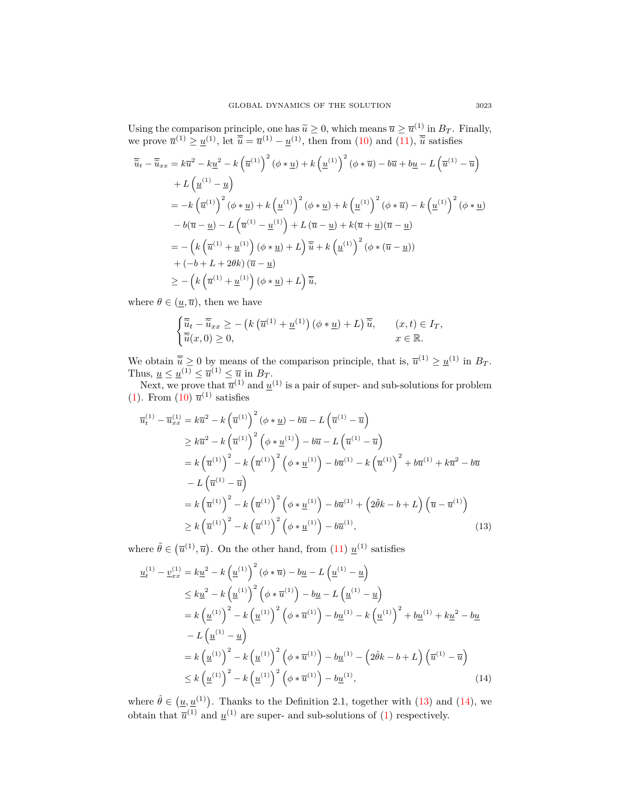Using the comparison principle, one has  $\tilde{u} \ge 0$ , which means  $\overline{u} \ge \overline{u}^{(1)}$  in  $B_T$ . Finally, we prove  $\overline{u}^{(1)} \ge \underline{u}^{(1)}$ , let  $\overline{\tilde{u}} = \overline{u}^{(1)} - \underline{u}^{(1)}$ , then from ([10\)](#page-5-1) and [\(11](#page-5-0)),  $\overline{\tilde{u}}$  satisfies

$$
\overline{\tilde{u}}_t - \overline{\tilde{u}}_{xx} = k\overline{u}^2 - k\underline{u}^2 - k\left(\overline{u}^{(1)}\right)^2 \left(\phi * \underline{u}\right) + k\left(\underline{u}^{(1)}\right)^2 \left(\phi * \overline{u}\right) - b\overline{u} + b\underline{u} - L\left(\overline{u}^{(1)} - \overline{u}\right)
$$
\n
$$
+ L\left(\underline{u}^{(1)} - \underline{u}\right)
$$
\n
$$
= -k\left(\overline{u}^{(1)}\right)^2 \left(\phi * \underline{u}\right) + k\left(\underline{u}^{(1)}\right)^2 \left(\phi * \underline{u}\right) + k\left(\underline{u}^{(1)}\right)^2 \left(\phi * \overline{u}\right) - k\left(\underline{u}^{(1)}\right)^2 \left(\phi * \underline{u}\right)
$$
\n
$$
- b(\overline{u} - \underline{u}) - L\left(\overline{u}^{(1)} - \underline{u}^{(1)}\right) + L\left(\overline{u} - \underline{u}\right) + k(\overline{u} + \underline{u})(\overline{u} - \underline{u})
$$
\n
$$
= -\left(k\left(\overline{u}^{(1)} + \underline{u}^{(1)}\right)\left(\phi * \underline{u}\right) + L\right)\overline{\tilde{u}} + k\left(\underline{u}^{(1)}\right)^2 \left(\phi * \left(\overline{u} - \underline{u}\right)\right)
$$
\n
$$
+ (-b + L + 2\theta k)\left(\overline{u} - \underline{u}\right)
$$
\n
$$
\geq -\left(k\left(\overline{u}^{(1)} + \underline{u}^{(1)}\right)\left(\phi * \underline{u}\right) + L\right)\overline{\tilde{u}},
$$

where  $\theta \in (\underline{u}, \overline{u})$ , then we have

$$
\begin{cases} \overline{\widetilde{u}}_t - \overline{\widetilde{u}}_{xx} \ge - \left( k \left( \overline{u}^{(1)} + \underline{u}^{(1)} \right) \left( \phi * \underline{u} \right) + L \right) \overline{\widetilde{u}}, & (x, t) \in I_T, \\ \overline{\widetilde{u}}(x, 0) \ge 0, & x \in \mathbb{R}. \end{cases}
$$

We obtain  $\overline{\widetilde{u}} \ge 0$  by means of the comparison principle, that is,  $\overline{u}^{(1)} \ge \underline{u}^{(1)}$  in  $B_T$ . Thus,  $\underline{u} \leq \underline{u}^{(1)} \leq \overline{u}^{(1)} \leq \overline{u}$  in  $B_T$ .

Next, we prove that  $\overline{u}^{(1)}$  and  $\underline{u}^{(1)}$  is a pair of super- and sub-solutions for problem  $(1)$  $(1)$ . From  $(10)$  $(10)$   $\overline{u}^{(1)}$  satisfies

$$
\overline{u}_{t}^{(1)} - \overline{u}_{xx}^{(1)} = k\overline{u}^{2} - k\left(\overline{u}^{(1)}\right)^{2} \left(\phi * \underline{u}\right) - b\overline{u} - L\left(\overline{u}^{(1)} - \overline{u}\right)
$$
\n
$$
\geq k\overline{u}^{2} - k\left(\overline{u}^{(1)}\right)^{2} \left(\phi * \underline{u}^{(1)}\right) - b\overline{u} - L\left(\overline{u}^{(1)} - \overline{u}\right)
$$
\n
$$
= k\left(\overline{u}^{(1)}\right)^{2} - k\left(\overline{u}^{(1)}\right)^{2} \left(\phi * \underline{u}^{(1)}\right) - b\overline{u}^{(1)} - k\left(\overline{u}^{(1)}\right)^{2} + b\overline{u}^{(1)} + k\overline{u}^{2} - b\overline{u}
$$
\n
$$
- L\left(\overline{u}^{(1)} - \overline{u}\right)
$$
\n
$$
= k\left(\overline{u}^{(1)}\right)^{2} - k\left(\overline{u}^{(1)}\right)^{2} \left(\phi * \underline{u}^{(1)}\right) - b\overline{u}^{(1)} + \left(2\tilde{\theta}k - b + L\right)\left(\overline{u} - \overline{u}^{(1)}\right)
$$
\n
$$
\geq k\left(\overline{u}^{(1)}\right)^{2} - k\left(\overline{u}^{(1)}\right)^{2} \left(\phi * \underline{u}^{(1)}\right) - b\overline{u}^{(1)}, \tag{13}
$$

where  $\tilde{\theta} \in (\overline{u}^{(1)}, \overline{u})$ . On the other hand, from [\(11](#page-5-0))  $\underline{u}^{(1)}$  satisfies

<span id="page-6-0"></span>
$$
\underline{u}_{t}^{(1)} - \underline{v}_{xx}^{(1)} = k\underline{u}^{2} - k\left(\underline{u}^{(1)}\right)^{2} \left(\phi * \overline{u}\right) - b\underline{u} - L\left(\underline{u}^{(1)} - \underline{u}\right)
$$
\n
$$
\leq k\underline{u}^{2} - k\left(\underline{u}^{(1)}\right)^{2} \left(\phi * \overline{u}^{(1)}\right) - b\underline{u} - L\left(\underline{u}^{(1)} - \underline{u}\right)
$$
\n
$$
= k\left(\underline{u}^{(1)}\right)^{2} - k\left(\underline{u}^{(1)}\right)^{2} \left(\phi * \overline{u}^{(1)}\right) - b\underline{u}^{(1)} - k\left(\underline{u}^{(1)}\right)^{2} + b\underline{u}^{(1)} + k\underline{u}^{2} - b\underline{u}
$$
\n
$$
- L\left(\underline{u}^{(1)} - \underline{u}\right)
$$
\n
$$
= k\left(\underline{u}^{(1)}\right)^{2} - k\left(\underline{u}^{(1)}\right)^{2} \left(\phi * \overline{u}^{(1)}\right) - b\underline{u}^{(1)} - \left(2\hat{\theta}k - b + L\right)\left(\overline{u}^{(1)} - \overline{u}\right)
$$
\n
$$
\leq k\left(\underline{u}^{(1)}\right)^{2} - k\left(\underline{u}^{(1)}\right)^{2} \left(\phi * \overline{u}^{(1)}\right) - b\underline{u}^{(1)}, \tag{14}
$$

<span id="page-6-1"></span>where  $\hat{\theta} \in (\underline{u}, \underline{u}^{(1)})$ . Thanks to the Definition 2.1, together with [\(13](#page-6-0)) and [\(14](#page-6-1)), we obtain that  $\bar{u}^{(1)}$  $\bar{u}^{(1)}$  $\bar{u}^{(1)}$  and  $\underline{u}^{(1)}$  are super- and sub-solutions of (1) respectively.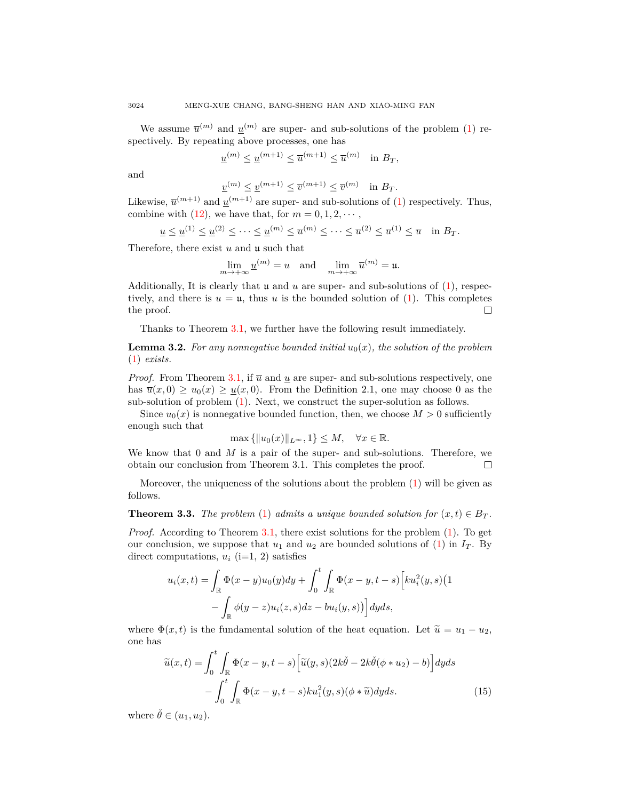We assume  $\bar{u}^{(m)}$  and  $\underline{u}^{(m)}$  are super- and sub-solutions of the problem [\(1](#page-0-0)) respectively. By repeating above processes, one has

$$
\underline{u}^{(m)} \le \underline{u}^{(m+1)} \le \overline{u}^{(m+1)} \le \overline{u}^{(m)} \quad \text{in } B_T,
$$

and

$$
\underline{v}^{(m)} \le \underline{v}^{(m+1)} \le \overline{v}^{(m+1)} \le \overline{v}^{(m)} \quad \text{in } B_T.
$$

Likewise,  $\overline{u}^{(m+1)}$  $\overline{u}^{(m+1)}$  $\overline{u}^{(m+1)}$  and  $\underline{u}^{(m+1)}$  are super- and sub-solutions of (1) respectively. Thus, combine with [\(12](#page-5-2)), we have that, for  $m = 0, 1, 2, \cdots$ ,

$$
\underline{u} \le \underline{u}^{(1)} \le \underline{u}^{(2)} \le \dots \le \underline{u}^{(m)} \le \overline{u}^{(m)} \le \dots \le \overline{u}^{(2)} \le \overline{u}^{(1)} \le \overline{u} \quad \text{in } B_T.
$$

Therefore, there exist *u* and u such that

$$
\lim_{m \to +\infty} \underline{u}^{(m)} = u \quad \text{and} \quad \lim_{m \to +\infty} \overline{u}^{(m)} = u.
$$

Additionally, It is clearly that u and *u* are super- and sub-solutions of [\(1](#page-0-0)), respectively, and there is  $u = u$ , thus *u* is the bounded solution of ([1\)](#page-0-0). This completes the proof.  $\Box$ 

Thanks to Theorem [3.1](#page-5-3), we further have the following result immediately.

<span id="page-7-0"></span>**Lemma 3.2.** For any nonnegative bounded initial  $u_0(x)$ , the solution of the problem ([1\)](#page-0-0) *exists.*

*Proof.* From Theorem [3.1,](#page-5-3) if  $\overline{u}$  and  $\underline{u}$  are super- and sub-solutions respectively, one has  $\overline{u}(x,0) \ge u_0(x) \ge u(x,0)$ . From the Definition 2.1, one may choose 0 as the sub-solution of problem ([1\)](#page-0-0). Next, we construct the super-solution as follows.

Since  $u_0(x)$  is nonnegative bounded function, then, we choose  $M > 0$  sufficiently enough such that

$$
\max\left\{||u_0(x)||_{L^{\infty}}, 1\right\} \le M, \quad \forall x \in \mathbb{R}.
$$

We know that 0 and *M* is a pair of the super- and sub-solutions. Therefore, we obtain our conclusion from Theorem 3.1. This completes the proof. П

Moreover, the uniqueness of the solutions about the problem  $(1)$  $(1)$  will be given as follows.

**Theorem 3.3.** *The problem* ([1\)](#page-0-0) *admits a unique bounded solution for*  $(x, t) \in B_T$ .

*Proof.* According to Theorem [3.1,](#page-5-3) there exist solutions for the problem ([1\)](#page-0-0). To get our conclusion, we suppose that  $u_1$  and  $u_2$  are bounded solutions of ([1\)](#page-0-0) in  $I_T$ . By direct computations,  $u_i$  (i=1, 2) satisfies

$$
u_i(x,t) = \int_{\mathbb{R}} \Phi(x-y)u_0(y)dy + \int_0^t \int_{\mathbb{R}} \Phi(x-y,t-s) \Big[ku_i^2(y,s)\Big(1 - \int_{\mathbb{R}} \phi(y-z)u_i(z,s)dz - bu_i(y,s)\Big)\Big]dyds,
$$

where  $\Phi(x, t)$  is the fundamental solution of the heat equation. Let  $\tilde{u} = u_1 - u_2$ , one has

<span id="page-7-1"></span>
$$
\widetilde{u}(x,t) = \int_0^t \int_{\mathbb{R}} \Phi(x-y,t-s) \left[ \widetilde{u}(y,s)(2k\check{\theta} - 2k\check{\theta}(\phi * u_2) - b) \right] dyds \n- \int_0^t \int_{\mathbb{R}} \Phi(x-y,t-s)ku_1^2(y,s)(\phi * \widetilde{u})dyds.
$$
\n(15)

where  $\check{\theta} \in (u_1, u_2)$ .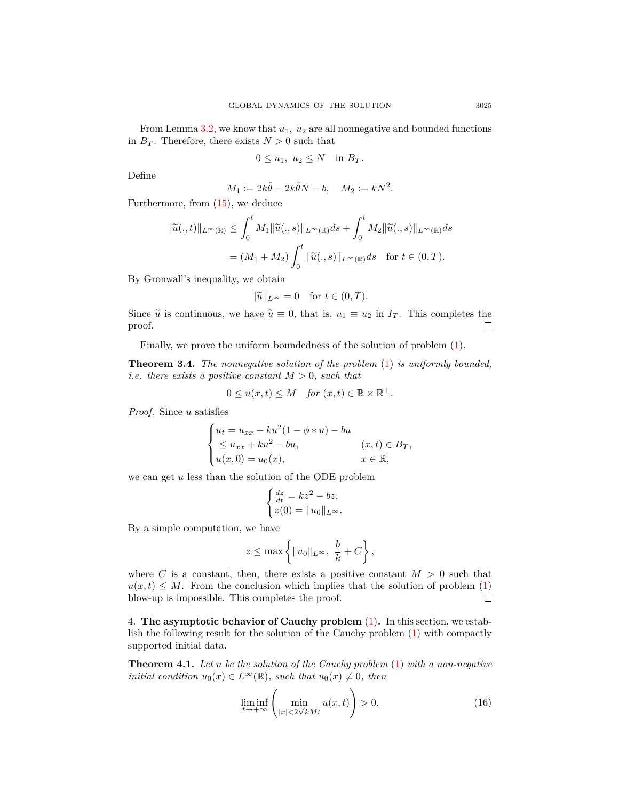From Lemma [3.2](#page-7-0), we know that  $u_1$ ,  $u_2$  are all nonnegative and bounded functions in  $B_T$ . Therefore, there exists  $N > 0$  such that

$$
0 \le u_1, u_2 \le N \quad \text{in } B_T.
$$

Define

$$
M_1 := 2k\check{\theta} - 2k\check{\theta}N - b, \quad M_2 := kN^2.
$$

Furthermore, from ([15\)](#page-7-1), we deduce

$$
\begin{aligned} \|\widetilde{u}(.,t)\|_{L^{\infty}(\mathbb{R})} &\leq \int_{0}^{t} M_{1} \|\widetilde{u}(.,s)\|_{L^{\infty}(\mathbb{R})} ds + \int_{0}^{t} M_{2} \|\widetilde{u}(.,s)\|_{L^{\infty}(\mathbb{R})} ds \\ &= (M_{1} + M_{2}) \int_{0}^{t} \|\widetilde{u}(.,s)\|_{L^{\infty}(\mathbb{R})} ds \quad \text{for } t \in (0,T). \end{aligned}
$$

By Gronwall's inequality, we obtain

$$
\|\widetilde{u}\|_{L^{\infty}} = 0 \quad \text{for } t \in (0, T).
$$

Since  $\tilde{u}$  is continuous, we have  $\tilde{u} \equiv 0$ , that is,  $u_1 \equiv u_2$  in  $I_T$ . This completes the proof. proof.

Finally, we prove the uniform boundedness of the solution of problem [\(1](#page-0-0)).

**Theorem 3.4.** *The nonnegative solution of the problem* ([1\)](#page-0-0) *is uniformly bounded, i.e. there exists a positive constant*  $M > 0$ *, such that* 

$$
0 \le u(x,t) \le M \quad \text{for } (x,t) \in \mathbb{R} \times \mathbb{R}^+.
$$

*Proof.* Since *u* satisfies

$$
\begin{cases}\n u_t = u_{xx} + ku^2(1 - \phi * u) - bu \\
 \le u_{xx} + ku^2 - bu, & (x, t) \in B_T, \\
 u(x, 0) = u_0(x), & x \in \mathbb{R},\n\end{cases}
$$

we can get *u* less than the solution of the ODE problem

$$
\begin{cases} \frac{dz}{dt} = kz^2 - bz, \\ z(0) = ||u_0||_{L^{\infty}}. \end{cases}
$$

By a simple computation, we have

$$
z \le \max\left\{\|u_0\|_{L^\infty},\ \frac{b}{k} + C\right\},\
$$

where *C* is a constant, then, there exists a positive constant  $M > 0$  such that  $u(x,t) \leq M$ . From the conclusion which implies that the solution of problem ([1\)](#page-0-0) blow-up is impossible. This completes the proof.  $\Box$ 

4. **The asymptotic behavior of Cauchy problem** ([1\)](#page-0-0)**.** In this section, we establish the following result for the solution of the Cauchy problem ([1](#page-0-0)) with compactly supported initial data.

**Theorem 4.1.** *Let u be the solution of the Cauchy problem* ([1\)](#page-0-0) *with a non-negative initial condition*  $u_0(x) \in L^\infty(\mathbb{R})$ *, such that*  $u_0(x) \neq 0$ *, then* 

<span id="page-8-0"></span>
$$
\liminf_{t \to +\infty} \left( \min_{|x| < 2\sqrt{kM}t} u(x,t) \right) > 0. \tag{16}
$$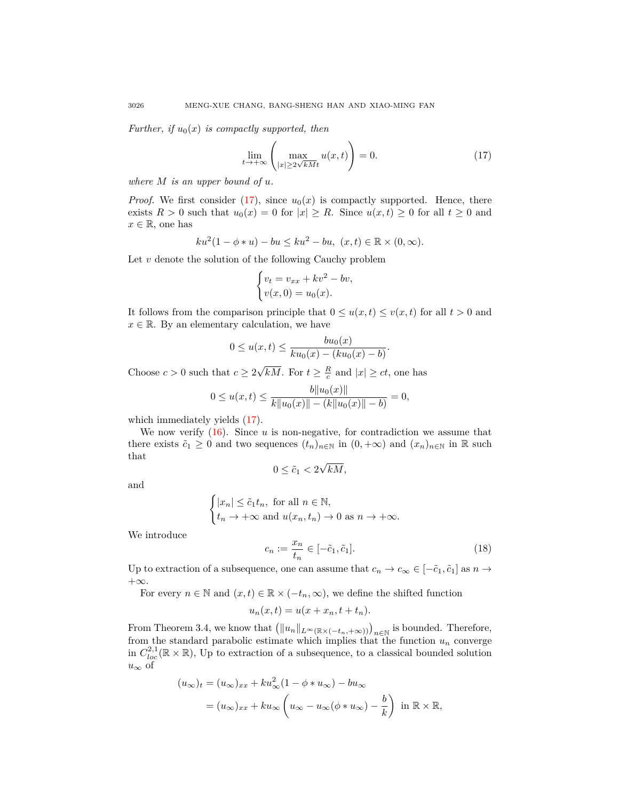*Further, if*  $u_0(x)$  *is compactly supported, then* 

$$
\lim_{t \to +\infty} \left( \max_{|x| \ge 2\sqrt{kM}t} u(x,t) \right) = 0. \tag{17}
$$

*where M is an upper bound of u.*

*Proof.* We first consider  $(17)$  $(17)$ , since  $u_0(x)$  is compactly supported. Hence, there exists  $R > 0$  such that  $u_0(x) = 0$  for  $|x| \ge R$ . Since  $u(x,t) \ge 0$  for all  $t \ge 0$  and  $x \in \mathbb{R}$ , one has

$$
ku^{2}(1 - \phi * u) - bu \leq ku^{2} - bu, (x, t) \in \mathbb{R} \times (0, \infty).
$$

Let *v* denote the solution of the following Cauchy problem

$$
\begin{cases} v_t = v_{xx} + kv^2 - bv, \\ v(x, 0) = u_0(x). \end{cases}
$$

It follows from the comparison principle that  $0 \le u(x, t) \le v(x, t)$  for all  $t > 0$  and  $x \in \mathbb{R}$ . By an elementary calculation, we have

$$
0 \le u(x,t) \le \frac{bu_0(x)}{ku_0(x) - (ku_0(x) - b)}
$$

Choose  $c > 0$  such that  $c \geq 2$  $\overline{kM}$ . For  $t \geq \frac{R}{c}$  and  $|x| \geq ct$ , one has

$$
0 \le u(x,t) \le \frac{b||u_0(x)||}{k||u_0(x)|| - (k||u_0(x)|| - b)} = 0,
$$

which immediately yields ([17\)](#page-9-0).

We now verify  $(16)$  $(16)$ . Since  $u$  is non-negative, for contradiction we assume that there exists  $\tilde{c}_1 \geq 0$  and two sequences  $(t_n)_{n \in \mathbb{N}}$  in  $(0, +\infty)$  and  $(x_n)_{n \in \mathbb{N}}$  in  $\mathbb R$  such that *√*

$$
0 \leq \tilde{c}_1 < 2\sqrt{kM},
$$

and

$$
\begin{cases} |x_n| \leq \tilde{c}_1 t_n, \text{ for all } n \in \mathbb{N}, \\ t_n \to +\infty \text{ and } u(x_n, t_n) \to 0 \text{ as } n \to +\infty. \end{cases}
$$

We introduce

<span id="page-9-1"></span>
$$
c_n := \frac{x_n}{t_n} \in [-\tilde{c}_1, \tilde{c}_1].\tag{18}
$$

<span id="page-9-0"></span>*.*

Up to extraction of a subsequence, one can assume that  $c_n \to c_\infty \in [-\tilde{c}_1, \tilde{c}_1]$  as  $n \to$ +*∞*.

For every  $n \in \mathbb{N}$  and  $(x, t) \in \mathbb{R} \times (-t_n, \infty)$ , we define the shifted function

$$
u_n(x,t) = u(x + x_n, t + t_n).
$$

From Theorem 3.4, we know that  $(\|u_n\|_{L^\infty(\mathbb{R}\times(-t_n,+\infty))})_{n\in\mathbb{N}}$  is bounded. Therefore, from the standard parabolic estimate which implies that the function  $u_n$  converge in  $C^{2,1}_{loc}(\mathbb{R} \times \mathbb{R})$ , Up to extraction of a subsequence, to a classical bounded solution *u<sup>∞</sup>* of

$$
(u_{\infty})_t = (u_{\infty})_{xx} + ku_{\infty}^2 (1 - \phi * u_{\infty}) - bu_{\infty}
$$
  
=  $(u_{\infty})_{xx} + ku_{\infty} \left( u_{\infty} - u_{\infty} (\phi * u_{\infty}) - \frac{b}{k} \right)$  in  $\mathbb{R} \times \mathbb{R}$ ,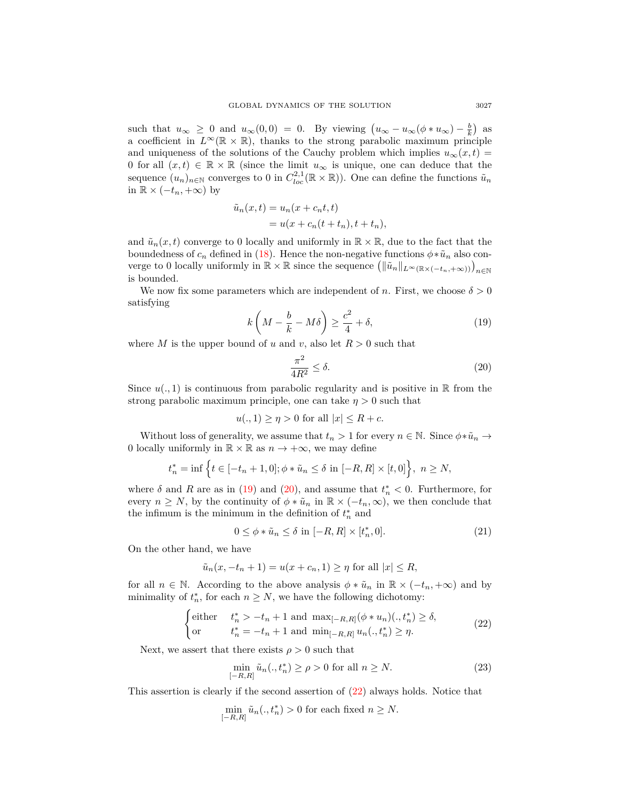such that  $u_{\infty} \geq 0$  and  $u_{\infty}(0,0) = 0$ . By viewing  $(u_{\infty} - u_{\infty}(\phi * u_{\infty}) - \frac{b}{k})$  as a coefficient in  $L^{\infty}(\mathbb{R} \times \mathbb{R})$ , thanks to the strong parabolic maximum principle and uniqueness of the solutions of the Cauchy problem which implies  $u_{\infty}(x,t)$ 0 for all  $(x, t) \in \mathbb{R} \times \mathbb{R}$  (since the limit  $u_{\infty}$  is unique, one can deduce that the sequence  $(u_n)_{n \in \mathbb{N}}$  converges to 0 in  $C^{2,1}_{loc}(\mathbb{R} \times \mathbb{R})$ ). One can define the functions  $\tilde{u}_n$ in ℝ  $\times$  ( $-t_n$ ,  $+\infty$ ) by

$$
\tilde{u}_n(x,t) = u_n(x + c_n t, t)
$$
  
= 
$$
u(x + c_n(t + t_n), t + t_n),
$$

and  $\tilde{u}_n(x,t)$  converge to 0 locally and uniformly in  $\mathbb{R} \times \mathbb{R}$ , due to the fact that the boundedness of  $c_n$  defined in [\(18](#page-9-1)). Hence the non-negative functions  $\phi * \tilde{u}_n$  also converge to 0 locally uniformly in  $\mathbb{R} \times \mathbb{R}$  since the sequence  $(\|\tilde{u}_n\|_{L^\infty(\mathbb{R} \times (-t_n, +\infty))})_{n \in \mathbb{N}}$ is bounded.

We now fix some parameters which are independent of *n*. First, we choose  $\delta > 0$ satisfying

<span id="page-10-0"></span>
$$
k\left(M - \frac{b}{k} - M\delta\right) \ge \frac{c^2}{4} + \delta,\tag{19}
$$

where *M* is the upper bound of *u* and *v*, also let  $R > 0$  such that

<span id="page-10-1"></span>
$$
\frac{\pi^2}{4R^2} \le \delta. \tag{20}
$$

Since  $u(., 1)$  is continuous from parabolic regularity and is positive in  $\mathbb R$  from the strong parabolic maximum principle, one can take  $\eta > 0$  such that

$$
u(.,1) \ge \eta > 0 \text{ for all } |x| \le R + c.
$$

Without loss of generality, we assume that  $t_n > 1$  for every  $n \in \mathbb{N}$ . Since  $\phi * \tilde{u}_n \to$ 0 locally uniformly in  $\mathbb{R} \times \mathbb{R}$  as  $n \to +\infty$ , we may define

$$
t_n^* = \inf \{ t \in [-t_n + 1, 0]; \phi * \tilde{u}_n \le \delta \text{ in } [-R, R] \times [t, 0] \}, n \ge N,
$$

where  $\delta$  and  $R$  are as in [\(19](#page-10-0)) and [\(20](#page-10-1)), and assume that  $t_n^* < 0$ . Furthermore, for every  $n \geq N$ , by the continuity of  $\phi * \tilde{u}_n$  in  $\mathbb{R} \times (-t_n, \infty)$ , we then conclude that the infimum is the minimum in the definition of  $t_n^*$  and

<span id="page-10-4"></span>
$$
0 \le \phi * \tilde{u}_n \le \delta \text{ in } [-R, R] \times [t_n^*, 0]. \tag{21}
$$

On the other hand, we have

$$
\tilde{u}_n(x, -t_n + 1) = u(x + c_n, 1) \ge \eta
$$
 for all  $|x| \le R$ ,

for all  $n \in \mathbb{N}$ . According to the above analysis  $\phi * \tilde{u}_n$  in  $\mathbb{R} \times (-t_n, +\infty)$  and by minimality of  $t_n^*$ , for each  $n \geq N$ , we have the following dichotomy:

<span id="page-10-2"></span>
$$
\begin{cases}\n\text{either} & t_n^* > -t_n + 1 \text{ and } \max_{[-R,R]} (\phi * u_n)(., t_n^*) \ge \delta, \\
\text{or} & t_n^* = -t_n + 1 \text{ and } \min_{[-R,R]} u_n(., t_n^*) \ge \eta.\n\end{cases} \tag{22}
$$

Next, we assert that there exists  $\rho > 0$  such that

<span id="page-10-3"></span>
$$
\min_{[-R,R]} \tilde{u}_n(.,t_n^*) \ge \rho > 0 \text{ for all } n \ge N. \tag{23}
$$

This assertion is clearly if the second assertion of ([22\)](#page-10-2) always holds. Notice that

$$
\min_{[-R,R]} \tilde{u}_n(.,t_n^*) > 0
$$
 for each fixed  $n \ge N$ .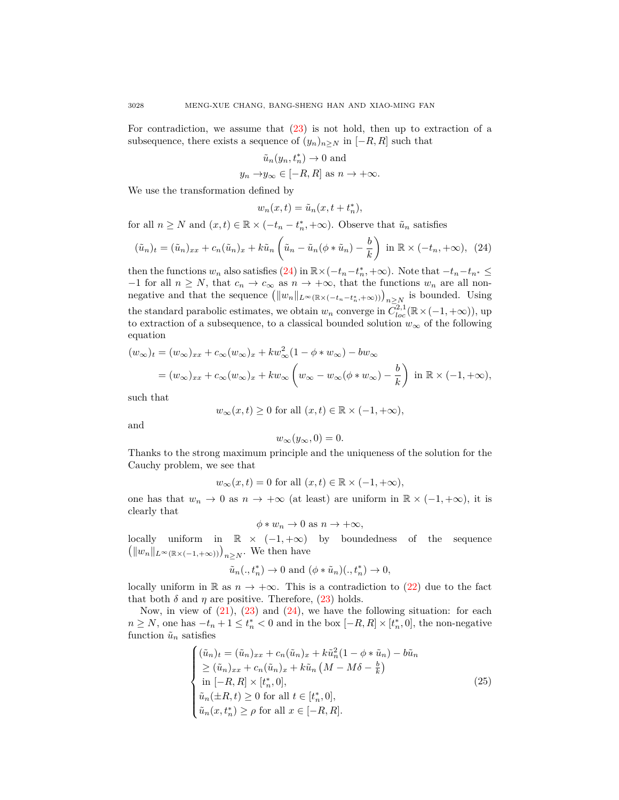For contradiction, we assume that [\(23](#page-10-3)) is not hold, then up to extraction of a subsequence, there exists a sequence of  $(y_n)_{n>N}$  in  $[-R, R]$  such that

$$
\tilde{u}_n(y_n, t_n^*) \to 0
$$
 and

 $y_n \rightarrow y_\infty \in [-R, R]$  as  $n \rightarrow +\infty$ .

We use the transformation defined by

$$
w_n(x,t) = \tilde{u}_n(x, t + t_n^*),
$$

for all  $n \geq N$  and  $(x, t) \in \mathbb{R} \times (-t_n - t_n^*, +\infty)$ . Observe that  $\tilde{u}_n$  satisfies

<span id="page-11-0"></span>
$$
(\tilde{u}_n)_t = (\tilde{u}_n)_{xx} + c_n(\tilde{u}_n)_x + k\tilde{u}_n\left(\tilde{u}_n - \tilde{u}_n(\phi * \tilde{u}_n) - \frac{b}{k}\right) \text{ in } \mathbb{R} \times (-t_n, +\infty), \tag{24}
$$

then the functions  $w_n$  also satisfies [\(24](#page-11-0)) in  $\mathbb{R}\times(-t_n-t_n^*,+\infty)$ . Note that  $-t_n-t_{n^*}\leq$ *−*1 for all  $n \geq N$ , that  $c_n \to c_\infty$  as  $n \to +\infty$ , that the functions  $w_n$  are all nonnegative and that the sequence  $(\|w_n\|_{L^\infty(\mathbb{R}\times(-t_n-t_n^*,+\infty)))}\)_{n\geq N\atop n\geq N}$  is bounded. Using the standard parabolic estimates, we obtain  $w_n$  converge in  $\overline{C}_{loc}^{2,1}(\mathbb{R} \times (-1, +\infty))$ , up to extraction of a subsequence, to a classical bounded solution  $w_\infty$  of the following equation

$$
(w_{\infty})_t = (w_{\infty})_{xx} + c_{\infty}(w_{\infty})_x + kw_{\infty}^2(1 - \phi * w_{\infty}) - bw_{\infty}
$$
  
=  $(w_{\infty})_{xx} + c_{\infty}(w_{\infty})_x + kw_{\infty}\left(w_{\infty} - w_{\infty}(\phi * w_{\infty}) - \frac{b}{k}\right) \text{ in } \mathbb{R} \times (-1, +\infty),$ 

such that

$$
w_{\infty}(x,t)\geq 0\text{ for all }(x,t)\in\mathbb{R}\times(-1,+\infty),
$$

and

$$
w_{\infty}(y_{\infty},0)=0.
$$

Thanks to the strong maximum principle and the uniqueness of the solution for the Cauchy problem, we see that

$$
w_{\infty}(x,t) = 0
$$
 for all  $(x,t) \in \mathbb{R} \times (-1, +\infty)$ ,

one has that  $w_n \to 0$  as  $n \to +\infty$  (at least) are uniform in  $\mathbb{R} \times (-1, +\infty)$ , it is clearly that

<span id="page-11-1"></span>
$$
\phi * w_n \to 0 \text{ as } n \to +\infty,
$$

locally uniform in  $\mathbb{R} \times (-1, +\infty)$  by boundedness of the sequence  $(|w_n||_{L^{\infty}(\mathbb{R} \times (-1, +\infty))})_{n \geq N}$ . We then have

$$
\tilde{u}_n(.,t_n^*) \to 0
$$
 and  $(\phi * \tilde{u}_n)(.,t_n^*) \to 0$ ,

locally uniform in R as  $n \to +\infty$ . This is a contradiction to ([22\)](#page-10-2) due to the fact that both  $\delta$  and  $\eta$  are positive. Therefore, [\(23](#page-10-3)) holds.

Now, in view of  $(21)$  $(21)$  $(21)$ ,  $(23)$  $(23)$  and  $(24)$  $(24)$ , we have the following situation: for each *n* ≥ *N*, one has  $-t_n + 1 \le t_n^* < 0$  and in the box  $[-R, R] \times [t_n^*, 0]$ , the non-negative function  $\tilde{u}_n$  satisfies

$$
\begin{cases}\n(\tilde{u}_n)_t = (\tilde{u}_n)_{xx} + c_n(\tilde{u}_n)_x + k\tilde{u}_n^2(1 - \phi * \tilde{u}_n) - b\tilde{u}_n \\
\geq (\tilde{u}_n)_{xx} + c_n(\tilde{u}_n)_x + k\tilde{u}_n (M - M\delta - \frac{b}{k}) \\
\text{in } [-R, R] \times [t_n^*, 0], \\
\tilde{u}_n(\pm R, t) \geq 0 \text{ for all } t \in [t_n^*, 0], \\
\tilde{u}_n(x, t_n^*) \geq \rho \text{ for all } x \in [-R, R].\n\end{cases}
$$
\n(25)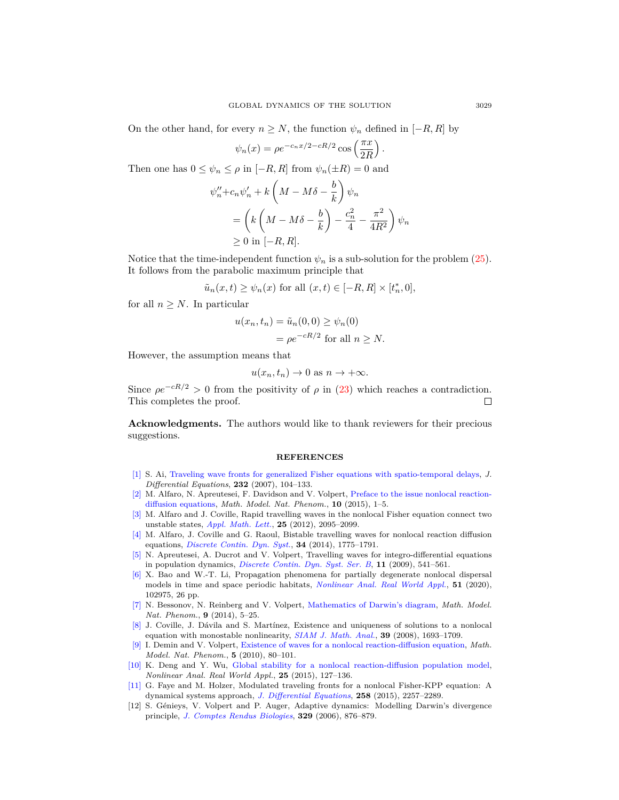On the other hand, for every  $n \geq N$ , the function  $\psi_n$  defined in [*−R, R*] by

$$
\psi_n(x) = \rho e^{-c_n x/2 - cR/2} \cos\left(\frac{\pi x}{2R}\right).
$$

Then one has  $0 \leq \psi_n \leq \rho$  in  $[-R, R]$  from  $\psi_n(\pm R) = 0$  and

$$
\psi_{n}'' + c_{n}\psi_{n}' + k\left(M - M\delta - \frac{b}{k}\right)\psi_{n}
$$
  
=  $\left(k\left(M - M\delta - \frac{b}{k}\right) - \frac{c_{n}^{2}}{4} - \frac{\pi^{2}}{4R^{2}}\right)\psi_{n}$   
\ge 0 in [-R, R].

Notice that the time-independent function  $\psi_n$  is a sub-solution for the problem  $(25)$  $(25)$ . It follows from the parabolic maximum principle that

$$
\tilde{u}_n(x,t) \ge \psi_n(x) \text{ for all } (x,t) \in [-R,R] \times [t_n^*,0],
$$

for all  $n \geq N$ . In particular

$$
u(x_n, t_n) = \tilde{u}_n(0, 0) \ge \psi_n(0)
$$
  
=  $\rho e^{-cR/2}$  for all  $n \ge N$ .

However, the assumption means that

$$
u(x_n, t_n) \to 0
$$
 as  $n \to +\infty$ .

Since  $\rho e^{-cR/2} > 0$  from the positivity of  $\rho$  in ([23\)](#page-10-3) which reaches a contradiction. This completes the proof.  $\Box$ 

**Acknowledgments.** The authors would like to thank reviewers for their precious suggestions.

## **REFERENCES**

- <span id="page-12-6"></span>[\[1\]](http://www.ams.org/mathscinet-getitem?mr=MR2281191&return=pdf) S. Ai, [Traveling wave fronts for generalized Fisher equations with spatio-temporal delays](http://dx.doi.org/10.1016/j.jde.2006.08.015), *J. Differential Equations*, **232** (2007), 104–133.
- <span id="page-12-3"></span>[\[2\]](http://www.ams.org/mathscinet-getitem?mr=MR3414242&return=pdf) M. Alfaro, N. Apreutesei, F. Davidson and V. Volpert, [Preface to the issue nonlocal reaction](http://dx.doi.org/10.1051/mmnp/201510601)[diffusion equations](http://dx.doi.org/10.1051/mmnp/201510601), *Math. Model. Nat. Phenom.*, **10** (2015), 1–5.
- <span id="page-12-8"></span>[\[3\]](http://www.ams.org/mathscinet-getitem?mr=MR2967796&return=pdf) M. Alfaro and J. Coville, Rapid travelling waves in the nonlocal Fisher equation connect two unstable states, *[Appl. Math. Lett.](http://dx.doi.org/10.1016/j.aml.2012.05.006)*, **25** (2012), 2095–2099.
- <span id="page-12-5"></span>[\[4\]](http://www.ams.org/mathscinet-getitem?mr=MR3124712&return=pdf) M. Alfaro, J. Coville and G. Raoul, Bistable travelling waves for nonlocal reaction diffusion equations, *[Discrete Contin. Dyn. Syst.](http://dx.doi.org/10.3934/dcds.2014.34.1775)*, **34** (2014), 1775–1791.
- <span id="page-12-2"></span>[\[5\]](http://www.ams.org/mathscinet-getitem?mr=MR2481324&return=pdf) N. Apreutesei, A. Ducrot and V. Volpert, Travelling waves for integro-differential equations in population dynamics, *[Discrete Contin. Dyn. Syst. Ser. B](http://dx.doi.org/10.3934/dcdsb.2009.11.541)*, **11** (2009), 541–561.
- <span id="page-12-9"></span>[\[6\]](http://www.ams.org/mathscinet-getitem?mr=MR3985608&return=pdf) X. Bao and W.-T. Li, Propagation phenomena for partially degenerate nonlocal dispersal models in time and space periodic habitats, *[Nonlinear Anal. Real World Appl.](http://dx.doi.org/10.1016/j.nonrwa.2019.102975)*, **51** (2020), 102975, 26 pp.
- <span id="page-12-0"></span>[\[7\]](http://www.ams.org/mathscinet-getitem?mr=MR3264282 &return=pdf) N. Bessonov, N. Reinberg and V. Volpert, [Mathematics of Darwin's diagram](http://dx.doi.org/10.1051/mmnp/20149302), *Math. Model. Nat. Phenom.*, **9** (2014), 5–25.
- <span id="page-12-10"></span>[\[8\]](http://www.ams.org/mathscinet-getitem?mr=MR2377295 &return=pdf) J. Coville, J. Dávila and S. Martínez, Existence and uniqueness of solutions to a nonlocal equation with monostable nonlinearity, *[SIAM J. Math. Anal.](http://dx.doi.org/10.1137/060676854)*, **39** (2008), 1693–1709.
- <span id="page-12-4"></span>[\[9\]](http://www.ams.org/mathscinet-getitem?mr=MR2681229&return=pdf) I. Demin and V. Volpert, [Existence of waves for a nonlocal reaction-diffusion equation,](http://dx.doi.org/10.1051/mmnp/20105506) *Math. Model. Nat. Phenom.*, **5** (2010), 80–101.
- <span id="page-12-11"></span>[\[10\]](http://www.ams.org/mathscinet-getitem?mr=MR3351016 &return=pdf) K. Deng and Y. Wu, [Global stability for a nonlocal reaction-diffusion population model](http://dx.doi.org/10.1016/j.nonrwa.2015.03.006), *Nonlinear Anal. Real World Appl.*, **25** (2015), 127–136.
- <span id="page-12-7"></span>[\[11\]](http://www.ams.org/mathscinet-getitem?mr=MR3306338&return=pdf) G. Faye and M. Holzer, Modulated traveling fronts for a nonlocal Fisher-KPP equation: A dynamical systems approach, *[J. Differential Equations](http://dx.doi.org/10.1016/j.jde.2014.12.006)*, **258** (2015), 2257–2289.
- <span id="page-12-1"></span>[12] S. Génieys, V. Volpert and P. Auger, Adaptive dynamics: Modelling Darwin's divergence principle, *[J. Comptes Rendus Biologies](http://dx.doi.org/10.1016/j.crvi.2006.08.006)*, **329** (2006), 876–879.